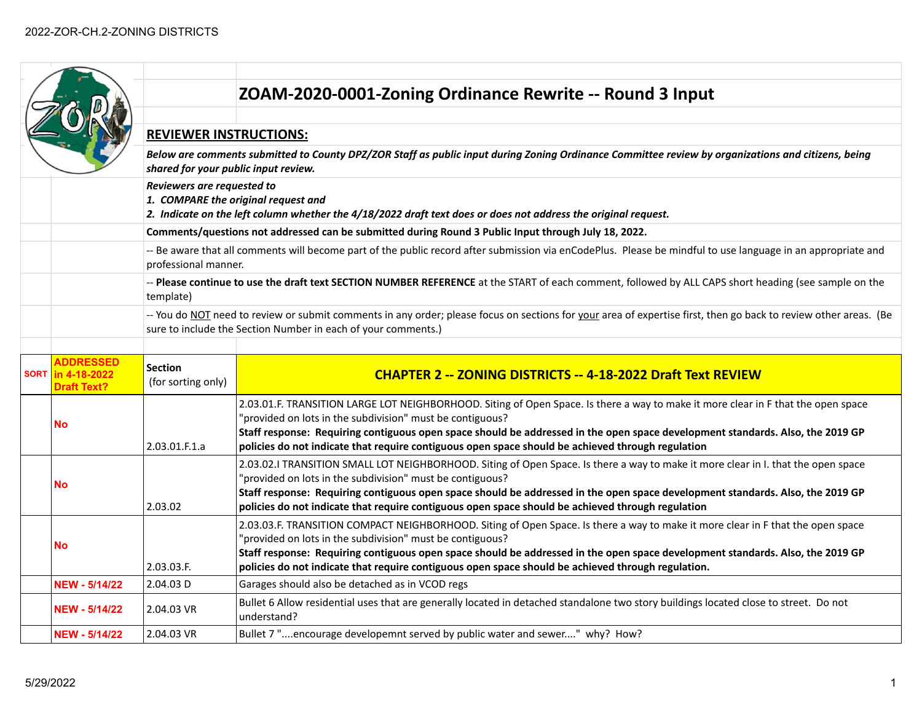|             |                                                        |                                                                                                                                                                                                                                   | ZOAM-2020-0001-Zoning Ordinance Rewrite -- Round 3 Input                                                                                                                                                                                                                                                                                                                                                                              |  |  |
|-------------|--------------------------------------------------------|-----------------------------------------------------------------------------------------------------------------------------------------------------------------------------------------------------------------------------------|---------------------------------------------------------------------------------------------------------------------------------------------------------------------------------------------------------------------------------------------------------------------------------------------------------------------------------------------------------------------------------------------------------------------------------------|--|--|
|             |                                                        | <b>REVIEWER INSTRUCTIONS:</b>                                                                                                                                                                                                     |                                                                                                                                                                                                                                                                                                                                                                                                                                       |  |  |
|             |                                                        | Below are comments submitted to County DPZ/ZOR Staff as public input during Zoning Ordinance Committee review by organizations and citizens, being<br>shared for your public input review.                                        |                                                                                                                                                                                                                                                                                                                                                                                                                                       |  |  |
|             |                                                        | Reviewers are requested to                                                                                                                                                                                                        | 1. COMPARE the original request and<br>2. Indicate on the left column whether the 4/18/2022 draft text does or does not address the original request.                                                                                                                                                                                                                                                                                 |  |  |
|             |                                                        |                                                                                                                                                                                                                                   | Comments/questions not addressed can be submitted during Round 3 Public Input through July 18, 2022.                                                                                                                                                                                                                                                                                                                                  |  |  |
|             |                                                        | professional manner.                                                                                                                                                                                                              | -- Be aware that all comments will become part of the public record after submission via enCodePlus. Please be mindful to use language in an appropriate and                                                                                                                                                                                                                                                                          |  |  |
|             |                                                        | -- Please continue to use the draft text SECTION NUMBER REFERENCE at the START of each comment, followed by ALL CAPS short heading (see sample on the<br>template)                                                                |                                                                                                                                                                                                                                                                                                                                                                                                                                       |  |  |
|             |                                                        | -- You do NOT need to review or submit comments in any order; please focus on sections for your area of expertise first, then go back to review other areas. (Be<br>sure to include the Section Number in each of your comments.) |                                                                                                                                                                                                                                                                                                                                                                                                                                       |  |  |
| <b>SORT</b> | <b>ADDRESSED</b><br>in 4-18-2022<br><b>Draft Text?</b> | <b>Section</b><br>(for sorting only)                                                                                                                                                                                              | <b>CHAPTER 2 -- ZONING DISTRICTS -- 4-18-2022 Draft Text REVIEW</b>                                                                                                                                                                                                                                                                                                                                                                   |  |  |
|             | No                                                     | 2.03.01.F.1.a                                                                                                                                                                                                                     | 2.03.01.F. TRANSITION LARGE LOT NEIGHBORHOOD. Siting of Open Space. Is there a way to make it more clear in F that the open space<br>"provided on lots in the subdivision" must be contiguous?<br>Staff response: Requiring contiguous open space should be addressed in the open space development standards. Also, the 2019 GP<br>policies do not indicate that require contiguous open space should be achieved through regulation |  |  |
|             | No                                                     | 2.03.02                                                                                                                                                                                                                           | 2.03.02.I TRANSITION SMALL LOT NEIGHBORHOOD. Siting of Open Space. Is there a way to make it more clear in I. that the open space<br>'provided on lots in the subdivision" must be contiguous?<br>Staff response: Requiring contiguous open space should be addressed in the open space development standards. Also, the 2019 GP<br>policies do not indicate that require contiguous open space should be achieved through regulation |  |  |
|             | No                                                     | 2.03.03.F.                                                                                                                                                                                                                        | 2.03.03.F. TRANSITION COMPACT NEIGHBORHOOD. Siting of Open Space. Is there a way to make it more clear in F that the open space<br>"provided on lots in the subdivision" must be contiguous?<br>Staff response: Requiring contiguous open space should be addressed in the open space development standards. Also, the 2019 GP<br>policies do not indicate that require contiguous open space should be achieved through regulation.  |  |  |
|             | <b>NEW - 5/14/22</b>                                   | 2.04.03 D                                                                                                                                                                                                                         | Garages should also be detached as in VCOD regs                                                                                                                                                                                                                                                                                                                                                                                       |  |  |
|             | <b>NEW - 5/14/22</b>                                   | 2.04.03 VR                                                                                                                                                                                                                        | Bullet 6 Allow residential uses that are generally located in detached standalone two story buildings located close to street. Do not<br>understand?                                                                                                                                                                                                                                                                                  |  |  |
|             | <b>NEW - 5/14/22</b>                                   | 2.04.03 VR                                                                                                                                                                                                                        | Bullet 7 "encourage developemnt served by public water and sewer" why? How?                                                                                                                                                                                                                                                                                                                                                           |  |  |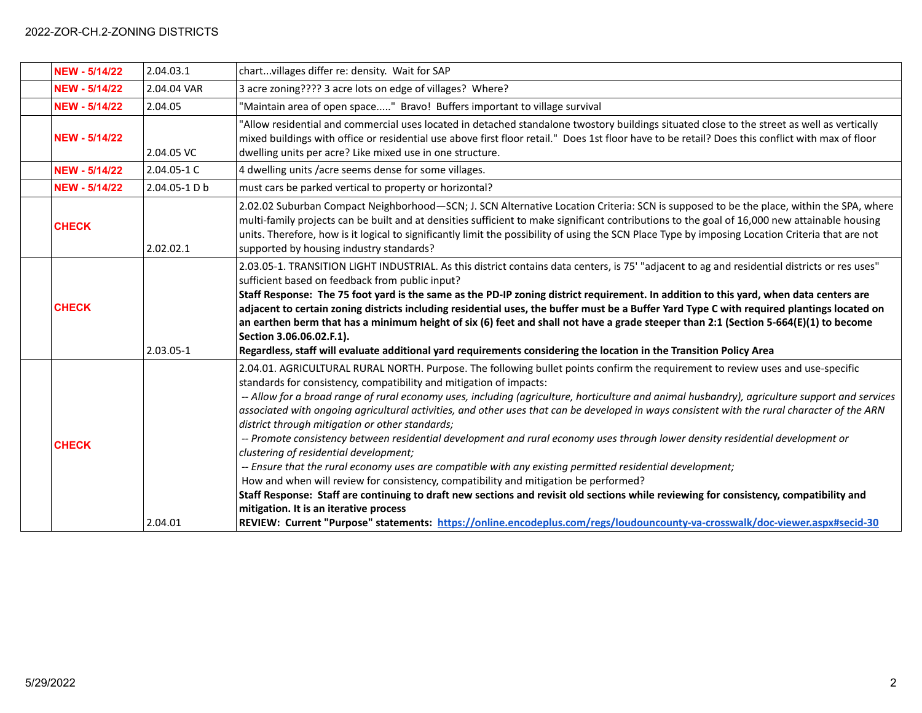| <b>NEW - 5/14/22</b> | 2.04.03.1     | chartvillages differ re: density. Wait for SAP                                                                                                                                                                                                                                                                                                                                                                                                                                                                                                                                                                                                                                                                                                                                                                                                                                                                                                                                                                                                                                                                                                                                                                                                                   |
|----------------------|---------------|------------------------------------------------------------------------------------------------------------------------------------------------------------------------------------------------------------------------------------------------------------------------------------------------------------------------------------------------------------------------------------------------------------------------------------------------------------------------------------------------------------------------------------------------------------------------------------------------------------------------------------------------------------------------------------------------------------------------------------------------------------------------------------------------------------------------------------------------------------------------------------------------------------------------------------------------------------------------------------------------------------------------------------------------------------------------------------------------------------------------------------------------------------------------------------------------------------------------------------------------------------------|
| <b>NEW - 5/14/22</b> | 2.04.04 VAR   | 3 acre zoning???? 3 acre lots on edge of villages? Where?                                                                                                                                                                                                                                                                                                                                                                                                                                                                                                                                                                                                                                                                                                                                                                                                                                                                                                                                                                                                                                                                                                                                                                                                        |
| <b>NEW - 5/14/22</b> | 2.04.05       | 'Maintain area of open space" Bravo! Buffers important to village survival                                                                                                                                                                                                                                                                                                                                                                                                                                                                                                                                                                                                                                                                                                                                                                                                                                                                                                                                                                                                                                                                                                                                                                                       |
| <b>NEW - 5/14/22</b> | 2.04.05 VC    | 'Allow residential and commercial uses located in detached standalone twostory buildings situated close to the street as well as vertically<br>mixed buildings with office or residential use above first floor retail." Does 1st floor have to be retail? Does this conflict with max of floor<br>dwelling units per acre? Like mixed use in one structure.                                                                                                                                                                                                                                                                                                                                                                                                                                                                                                                                                                                                                                                                                                                                                                                                                                                                                                     |
| <b>NEW - 5/14/22</b> | 2.04.05-1 C   | 4 dwelling units /acre seems dense for some villages.                                                                                                                                                                                                                                                                                                                                                                                                                                                                                                                                                                                                                                                                                                                                                                                                                                                                                                                                                                                                                                                                                                                                                                                                            |
| <b>NEW - 5/14/22</b> | 2.04.05-1 D b | must cars be parked vertical to property or horizontal?                                                                                                                                                                                                                                                                                                                                                                                                                                                                                                                                                                                                                                                                                                                                                                                                                                                                                                                                                                                                                                                                                                                                                                                                          |
| <b>CHECK</b>         | 2.02.02.1     | 2.02.02 Suburban Compact Neighborhood-SCN; J. SCN Alternative Location Criteria: SCN is supposed to be the place, within the SPA, where<br>multi-family projects can be built and at densities sufficient to make significant contributions to the goal of 16,000 new attainable housing<br>units. Therefore, how is it logical to significantly limit the possibility of using the SCN Place Type by imposing Location Criteria that are not<br>supported by housing industry standards?                                                                                                                                                                                                                                                                                                                                                                                                                                                                                                                                                                                                                                                                                                                                                                        |
| <b>CHECK</b>         | 2.03.05-1     | 2.03.05-1. TRANSITION LIGHT INDUSTRIAL. As this district contains data centers, is 75' "adjacent to ag and residential districts or res uses"<br>sufficient based on feedback from public input?<br>Staff Response: The 75 foot yard is the same as the PD-IP zoning district requirement. In addition to this yard, when data centers are<br>adjacent to certain zoning districts including residential uses, the buffer must be a Buffer Yard Type C with required plantings located on<br>an earthen berm that has a minimum height of six (6) feet and shall not have a grade steeper than 2:1 (Section 5-664(E)(1) to become<br>Section 3.06.06.02.F.1).<br>Regardless, staff will evaluate additional yard requirements considering the location in the Transition Policy Area                                                                                                                                                                                                                                                                                                                                                                                                                                                                             |
| <b>CHECK</b>         | 2.04.01       | 2.04.01. AGRICULTURAL RURAL NORTH. Purpose. The following bullet points confirm the requirement to review uses and use-specific<br>standards for consistency, compatibility and mitigation of impacts:<br>-- Allow for a broad range of rural economy uses, including (agriculture, horticulture and animal husbandry), agriculture support and services<br>associated with ongoing agricultural activities, and other uses that can be developed in ways consistent with the rural character of the ARN<br>district through mitigation or other standards;<br>-- Promote consistency between residential development and rural economy uses through lower density residential development or<br>clustering of residential development;<br>-- Ensure that the rural economy uses are compatible with any existing permitted residential development;<br>How and when will review for consistency, compatibility and mitigation be performed?<br>Staff Response: Staff are continuing to draft new sections and revisit old sections while reviewing for consistency, compatibility and<br>mitigation. It is an iterative process<br>REVIEW: Current "Purpose" statements: https://online.encodeplus.com/regs/loudouncounty-va-crosswalk/doc-viewer.aspx#secid-30 |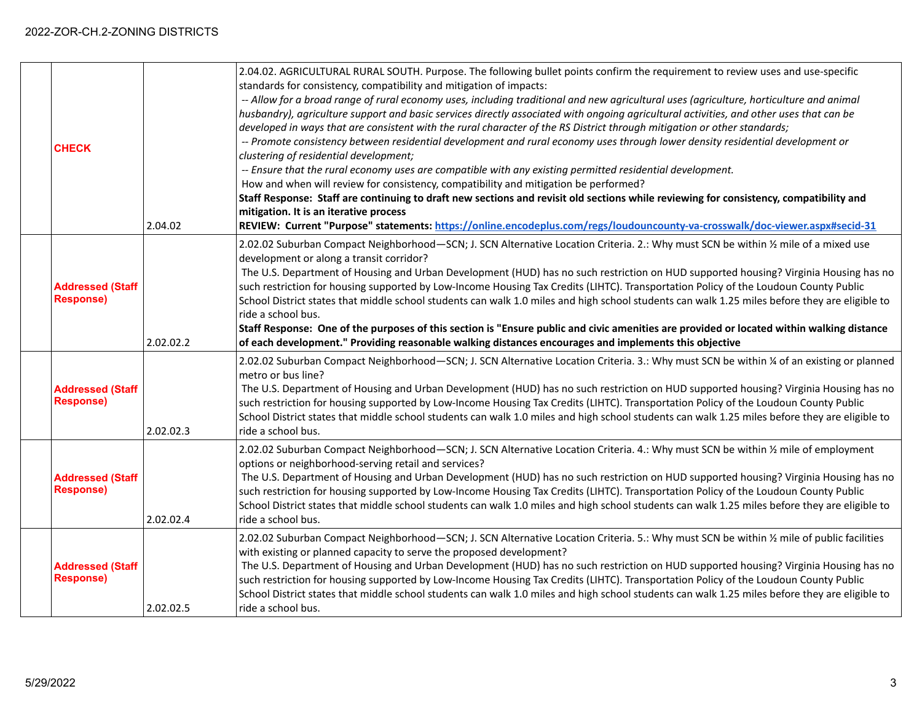| <b>CHECK</b>                                | 2.04.02   | 2.04.02. AGRICULTURAL RURAL SOUTH. Purpose. The following bullet points confirm the requirement to review uses and use-specific<br>standards for consistency, compatibility and mitigation of impacts:<br>-- Allow for a broad range of rural economy uses, including traditional and new agricultural uses (agriculture, horticulture and animal<br>husbandry), agriculture support and basic services directly associated with ongoing agricultural activities, and other uses that can be<br>developed in ways that are consistent with the rural character of the RS District through mitigation or other standards;<br>-- Promote consistency between residential development and rural economy uses through lower density residential development or<br>clustering of residential development;<br>-- Ensure that the rural economy uses are compatible with any existing permitted residential development.<br>How and when will review for consistency, compatibility and mitigation be performed?<br>Staff Response: Staff are continuing to draft new sections and revisit old sections while reviewing for consistency, compatibility and<br>mitigation. It is an iterative process<br>REVIEW: Current "Purpose" statements: https://online.encodeplus.com/regs/loudouncounty-va-crosswalk/doc-viewer.aspx#secid-31 |
|---------------------------------------------|-----------|-------------------------------------------------------------------------------------------------------------------------------------------------------------------------------------------------------------------------------------------------------------------------------------------------------------------------------------------------------------------------------------------------------------------------------------------------------------------------------------------------------------------------------------------------------------------------------------------------------------------------------------------------------------------------------------------------------------------------------------------------------------------------------------------------------------------------------------------------------------------------------------------------------------------------------------------------------------------------------------------------------------------------------------------------------------------------------------------------------------------------------------------------------------------------------------------------------------------------------------------------------------------------------------------------------------------------------|
| <b>Addressed (Staff</b><br><b>Response)</b> | 2.02.02.2 | 2.02.02 Suburban Compact Neighborhood-SCN; J. SCN Alternative Location Criteria. 2.: Why must SCN be within 1/2 mile of a mixed use<br>development or along a transit corridor?<br>The U.S. Department of Housing and Urban Development (HUD) has no such restriction on HUD supported housing? Virginia Housing has no<br>such restriction for housing supported by Low-Income Housing Tax Credits (LIHTC). Transportation Policy of the Loudoun County Public<br>School District states that middle school students can walk 1.0 miles and high school students can walk 1.25 miles before they are eligible to<br>ride a school bus.<br>Staff Response: One of the purposes of this section is "Ensure public and civic amenities are provided or located within walking distance<br>of each development." Providing reasonable walking distances encourages and implements this objective                                                                                                                                                                                                                                                                                                                                                                                                                                 |
| <b>Addressed (Staff</b><br><b>Response)</b> | 2.02.02.3 | 2.02.02 Suburban Compact Neighborhood-SCN; J. SCN Alternative Location Criteria. 3.: Why must SCN be within ¼ of an existing or planned<br>metro or bus line?<br>The U.S. Department of Housing and Urban Development (HUD) has no such restriction on HUD supported housing? Virginia Housing has no<br>such restriction for housing supported by Low-Income Housing Tax Credits (LIHTC). Transportation Policy of the Loudoun County Public<br>School District states that middle school students can walk 1.0 miles and high school students can walk 1.25 miles before they are eligible to<br>ride a school bus.                                                                                                                                                                                                                                                                                                                                                                                                                                                                                                                                                                                                                                                                                                         |
| <b>Addressed (Staff</b><br><b>Response)</b> | 2.02.02.4 | 2.02.02 Suburban Compact Neighborhood-SCN; J. SCN Alternative Location Criteria. 4.: Why must SCN be within 1/2 mile of employment<br>options or neighborhood-serving retail and services?<br>The U.S. Department of Housing and Urban Development (HUD) has no such restriction on HUD supported housing? Virginia Housing has no<br>such restriction for housing supported by Low-Income Housing Tax Credits (LIHTC). Transportation Policy of the Loudoun County Public<br>School District states that middle school students can walk 1.0 miles and high school students can walk 1.25 miles before they are eligible to<br>ride a school bus.                                                                                                                                                                                                                                                                                                                                                                                                                                                                                                                                                                                                                                                                            |
| <b>Addressed (Staff</b><br><b>Response)</b> | 2.02.02.5 | 2.02.02 Suburban Compact Neighborhood-SCN; J. SCN Alternative Location Criteria. 5.: Why must SCN be within 1/2 mile of public facilities<br>with existing or planned capacity to serve the proposed development?<br>The U.S. Department of Housing and Urban Development (HUD) has no such restriction on HUD supported housing? Virginia Housing has no<br>such restriction for housing supported by Low-Income Housing Tax Credits (LIHTC). Transportation Policy of the Loudoun County Public<br>School District states that middle school students can walk 1.0 miles and high school students can walk 1.25 miles before they are eligible to<br>ride a school bus.                                                                                                                                                                                                                                                                                                                                                                                                                                                                                                                                                                                                                                                     |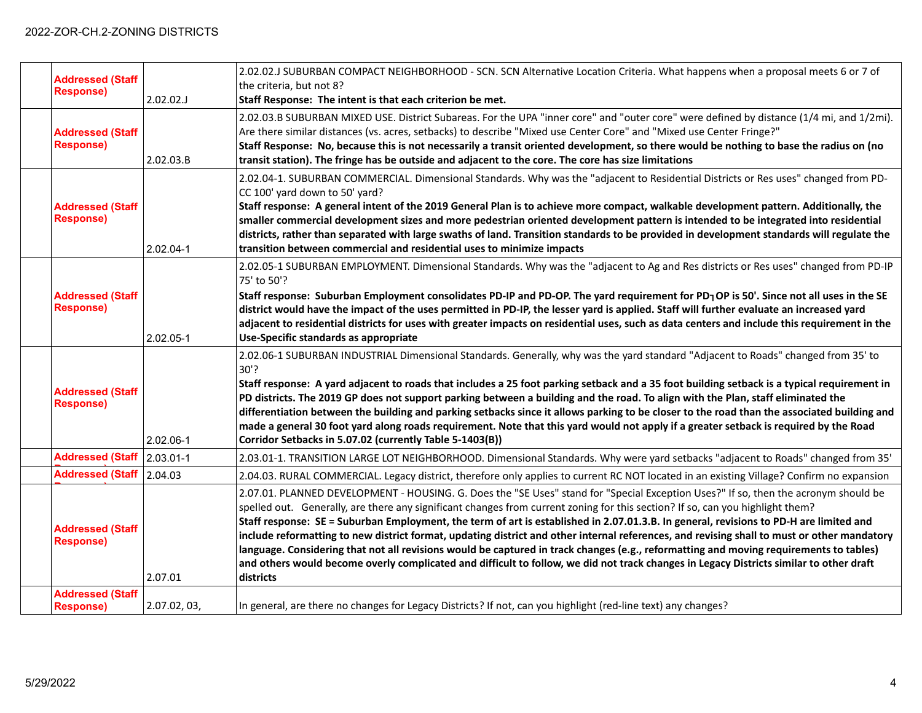| <b>Addressed (Staff</b><br><b>Response)</b> | $2.02.02$ .J | 2.02.02.J SUBURBAN COMPACT NEIGHBORHOOD - SCN. SCN Alternative Location Criteria. What happens when a proposal meets 6 or 7 of<br>the criteria, but not 8?<br>Staff Response: The intent is that each criterion be met.                                                                                                                                                                                                                                                                                                                                                                                                                                                                                                                                                                                                                                          |
|---------------------------------------------|--------------|------------------------------------------------------------------------------------------------------------------------------------------------------------------------------------------------------------------------------------------------------------------------------------------------------------------------------------------------------------------------------------------------------------------------------------------------------------------------------------------------------------------------------------------------------------------------------------------------------------------------------------------------------------------------------------------------------------------------------------------------------------------------------------------------------------------------------------------------------------------|
| <b>Addressed (Staff</b><br><b>Response)</b> | 2.02.03.B    | 2.02.03.B SUBURBAN MIXED USE. District Subareas. For the UPA "inner core" and "outer core" were defined by distance (1/4 mi, and 1/2mi).<br>Are there similar distances (vs. acres, setbacks) to describe "Mixed use Center Core" and "Mixed use Center Fringe?"<br>Staff Response: No, because this is not necessarily a transit oriented development, so there would be nothing to base the radius on (no<br>transit station). The fringe has be outside and adjacent to the core. The core has size limitations                                                                                                                                                                                                                                                                                                                                               |
| <b>Addressed (Staff</b><br><b>Response)</b> | 2.02.04-1    | 2.02.04-1. SUBURBAN COMMERCIAL. Dimensional Standards. Why was the "adjacent to Residential Districts or Res uses" changed from PD-<br>CC 100' yard down to 50' yard?<br>Staff response: A general intent of the 2019 General Plan is to achieve more compact, walkable development pattern. Additionally, the<br>smaller commercial development sizes and more pedestrian oriented development pattern is intended to be integrated into residential<br>districts, rather than separated with large swaths of land. Transition standards to be provided in development standards will regulate the<br>transition between commercial and residential uses to minimize impacts                                                                                                                                                                                    |
| <b>Addressed (Staff</b><br><b>Response)</b> | 2.02.05-1    | 2.02.05-1 SUBURBAN EMPLOYMENT. Dimensional Standards. Why was the "adjacent to Ag and Res districts or Res uses" changed from PD-IP<br>75' to 50'?<br>Staff response: Suburban Employment consolidates PD-IP and PD-OP. The yard requirement for PD <sub>1</sub> OP is 50'. Since not all uses in the SE<br>district would have the impact of the uses permitted in PD-IP, the lesser yard is applied. Staff will further evaluate an increased yard<br>adjacent to residential districts for uses with greater impacts on residential uses, such as data centers and include this requirement in the<br>Use-Specific standards as appropriate                                                                                                                                                                                                                   |
| <b>Addressed (Staff</b><br><b>Response)</b> | 2.02.06-1    | 2.02.06-1 SUBURBAN INDUSTRIAL Dimensional Standards. Generally, why was the yard standard "Adjacent to Roads" changed from 35' to<br>$30'$ ?<br>Staff response: A yard adjacent to roads that includes a 25 foot parking setback and a 35 foot building setback is a typical requirement in<br>PD districts. The 2019 GP does not support parking between a building and the road. To align with the Plan, staff eliminated the<br>differentiation between the building and parking setbacks since it allows parking to be closer to the road than the associated building and<br>made a general 30 foot yard along roads requirement. Note that this yard would not apply if a greater setback is required by the Road<br>Corridor Setbacks in 5.07.02 (currently Table 5-1403(B))                                                                              |
| Addressed (Staff 2.03.01-1                  |              | 2.03.01-1. TRANSITION LARGE LOT NEIGHBORHOOD. Dimensional Standards. Why were yard setbacks "adjacent to Roads" changed from 35'                                                                                                                                                                                                                                                                                                                                                                                                                                                                                                                                                                                                                                                                                                                                 |
| Addressed (Staff 2.04.03                    |              | 2.04.03. RURAL COMMERCIAL. Legacy district, therefore only applies to current RC NOT located in an existing Village? Confirm no expansion                                                                                                                                                                                                                                                                                                                                                                                                                                                                                                                                                                                                                                                                                                                        |
| <b>Addressed (Staff</b><br><b>Response)</b> | 2.07.01      | 2.07.01. PLANNED DEVELOPMENT - HOUSING. G. Does the "SE Uses" stand for "Special Exception Uses?" If so, then the acronym should be<br>spelled out. Generally, are there any significant changes from current zoning for this section? If so, can you highlight them?<br>Staff response: SE = Suburban Employment, the term of art is established in 2.07.01.3.B. In general, revisions to PD-H are limited and<br>include reformatting to new district format, updating district and other internal references, and revising shall to must or other mandatory<br>language. Considering that not all revisions would be captured in track changes (e.g., reformatting and moving requirements to tables)<br>and others would become overly complicated and difficult to follow, we did not track changes in Legacy Districts similar to other draft<br>districts |
| <b>Addressed (Staff</b><br><b>Response)</b> | 2.07.02, 03, | In general, are there no changes for Legacy Districts? If not, can you highlight (red-line text) any changes?                                                                                                                                                                                                                                                                                                                                                                                                                                                                                                                                                                                                                                                                                                                                                    |